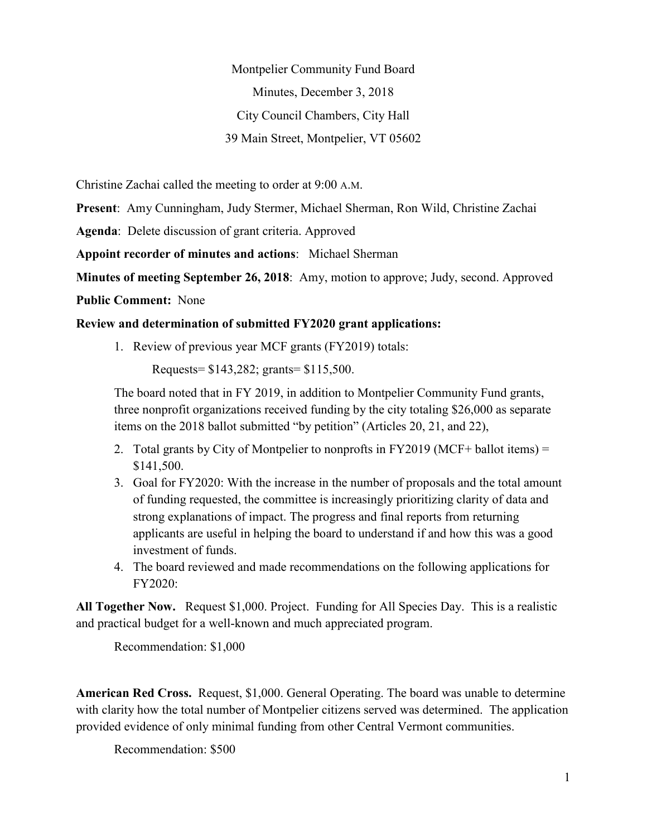Montpelier Community Fund Board Minutes, December 3, 2018 City Council Chambers, City Hall 39 Main Street, Montpelier, VT 05602

Christine Zachai called the meeting to order at 9:00 A.M.

**Present**: Amy Cunningham, Judy Stermer, Michael Sherman, Ron Wild, Christine Zachai

**Agenda**: Delete discussion of grant criteria. Approved

**Appoint recorder of minutes and actions**: Michael Sherman

**Minutes of meeting September 26, 2018**: Amy, motion to approve; Judy, second. Approved

**Public Comment:** None

## **Review and determination of submitted FY2020 grant applications:**

1. Review of previous year MCF grants (FY2019) totals:

Requests= \$143,282; grants= \$115,500.

The board noted that in FY 2019, in addition to Montpelier Community Fund grants, three nonprofit organizations received funding by the city totaling \$26,000 as separate items on the 2018 ballot submitted "by petition" (Articles 20, 21, and 22),

- 2. Total grants by City of Montpelier to nonprofts in FY2019 (MCF+ ballot items) = \$141,500.
- 3. Goal for FY2020: With the increase in the number of proposals and the total amount of funding requested, the committee is increasingly prioritizing clarity of data and strong explanations of impact. The progress and final reports from returning applicants are useful in helping the board to understand if and how this was a good investment of funds.
- 4. The board reviewed and made recommendations on the following applications for FY2020:

**All Together Now.** Request \$1,000. Project. Funding for All Species Day. This is a realistic and practical budget for a well-known and much appreciated program.

Recommendation: \$1,000

**American Red Cross.** Request, \$1,000. General Operating. The board was unable to determine with clarity how the total number of Montpelier citizens served was determined. The application provided evidence of only minimal funding from other Central Vermont communities.

Recommendation: \$500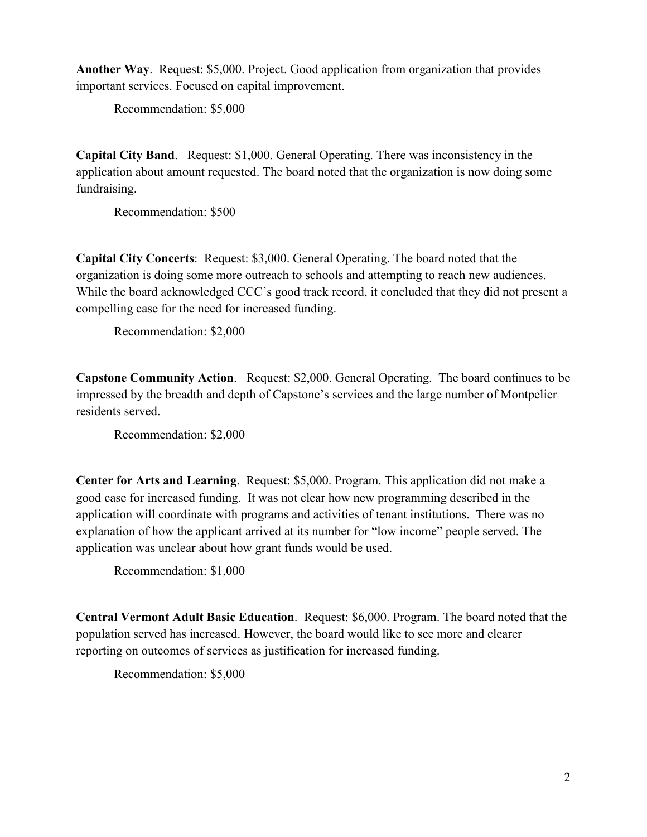**Another Way**. Request: \$5,000. Project. Good application from organization that provides important services. Focused on capital improvement.

Recommendation: \$5,000

**Capital City Band**. Request: \$1,000. General Operating. There was inconsistency in the application about amount requested. The board noted that the organization is now doing some fundraising.

Recommendation: \$500

**Capital City Concerts**: Request: \$3,000. General Operating. The board noted that the organization is doing some more outreach to schools and attempting to reach new audiences. While the board acknowledged CCC's good track record, it concluded that they did not present a compelling case for the need for increased funding.

Recommendation: \$2,000

**Capstone Community Action**. Request: \$2,000. General Operating. The board continues to be impressed by the breadth and depth of Capstone's services and the large number of Montpelier residents served.

Recommendation: \$2,000

**Center for Arts and Learning**. Request: \$5,000. Program. This application did not make a good case for increased funding. It was not clear how new programming described in the application will coordinate with programs and activities of tenant institutions. There was no explanation of how the applicant arrived at its number for "low income" people served. The application was unclear about how grant funds would be used.

Recommendation: \$1,000

**Central Vermont Adult Basic Education**. Request: \$6,000. Program. The board noted that the population served has increased. However, the board would like to see more and clearer reporting on outcomes of services as justification for increased funding.

Recommendation: \$5,000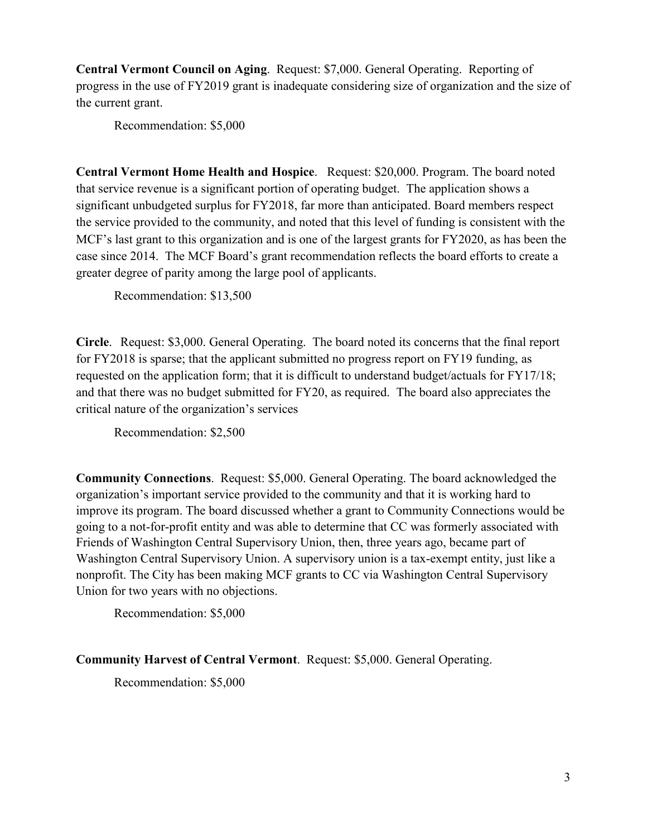**Central Vermont Council on Aging**. Request: \$7,000. General Operating. Reporting of progress in the use of FY2019 grant is inadequate considering size of organization and the size of the current grant.

Recommendation: \$5,000

**Central Vermont Home Health and Hospice**. Request: \$20,000. Program. The board noted that service revenue is a significant portion of operating budget. The application shows a significant unbudgeted surplus for FY2018, far more than anticipated. Board members respect the service provided to the community, and noted that this level of funding is consistent with the MCF's last grant to this organization and is one of the largest grants for FY2020, as has been the case since 2014. The MCF Board's grant recommendation reflects the board efforts to create a greater degree of parity among the large pool of applicants.

Recommendation: \$13,500

**Circle**. Request: \$3,000. General Operating. The board noted its concerns that the final report for FY2018 is sparse; that the applicant submitted no progress report on FY19 funding, as requested on the application form; that it is difficult to understand budget/actuals for FY17/18; and that there was no budget submitted for FY20, as required. The board also appreciates the critical nature of the organization's services

Recommendation: \$2,500

**Community Connections**. Request: \$5,000. General Operating. The board acknowledged the organization's important service provided to the community and that it is working hard to improve its program. The board discussed whether a grant to Community Connections would be going to a not-for-profit entity and was able to determine that CC was formerly associated with Friends of Washington Central Supervisory Union, then, three years ago, became part of Washington Central Supervisory Union. A supervisory union is a tax-exempt entity, just like a nonprofit. The City has been making MCF grants to CC via Washington Central Supervisory Union for two years with no objections.

Recommendation: \$5,000

**Community Harvest of Central Vermont**. Request: \$5,000. General Operating.

Recommendation: \$5,000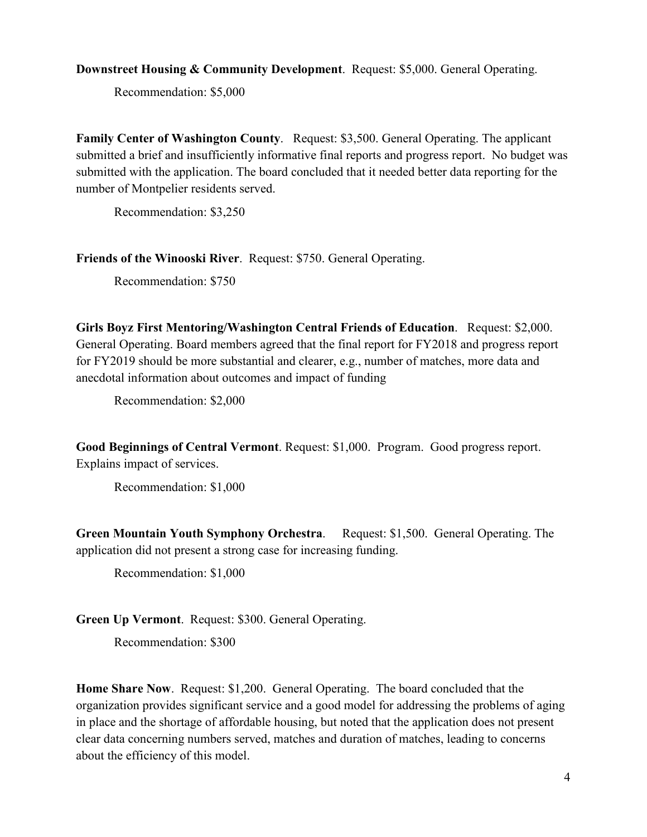**Downstreet Housing & Community Development**. Request: \$5,000. General Operating.

Recommendation: \$5,000

**Family Center of Washington County**. Request: \$3,500. General Operating. The applicant submitted a brief and insufficiently informative final reports and progress report. No budget was submitted with the application. The board concluded that it needed better data reporting for the number of Montpelier residents served.

Recommendation: \$3,250

**Friends of the Winooski River**. Request: \$750. General Operating.

Recommendation: \$750

**Girls Boyz First Mentoring/Washington Central Friends of Education**. Request: \$2,000. General Operating. Board members agreed that the final report for FY2018 and progress report for FY2019 should be more substantial and clearer, e.g., number of matches, more data and anecdotal information about outcomes and impact of funding

Recommendation: \$2,000

**Good Beginnings of Central Vermont**. Request: \$1,000. Program. Good progress report. Explains impact of services.

Recommendation: \$1,000

**Green Mountain Youth Symphony Orchestra**. Request: \$1,500. General Operating. The application did not present a strong case for increasing funding.

Recommendation: \$1,000

**Green Up Vermont**. Request: \$300. General Operating.

Recommendation: \$300

**Home Share Now**. Request: \$1,200. General Operating. The board concluded that the organization provides significant service and a good model for addressing the problems of aging in place and the shortage of affordable housing, but noted that the application does not present clear data concerning numbers served, matches and duration of matches, leading to concerns about the efficiency of this model.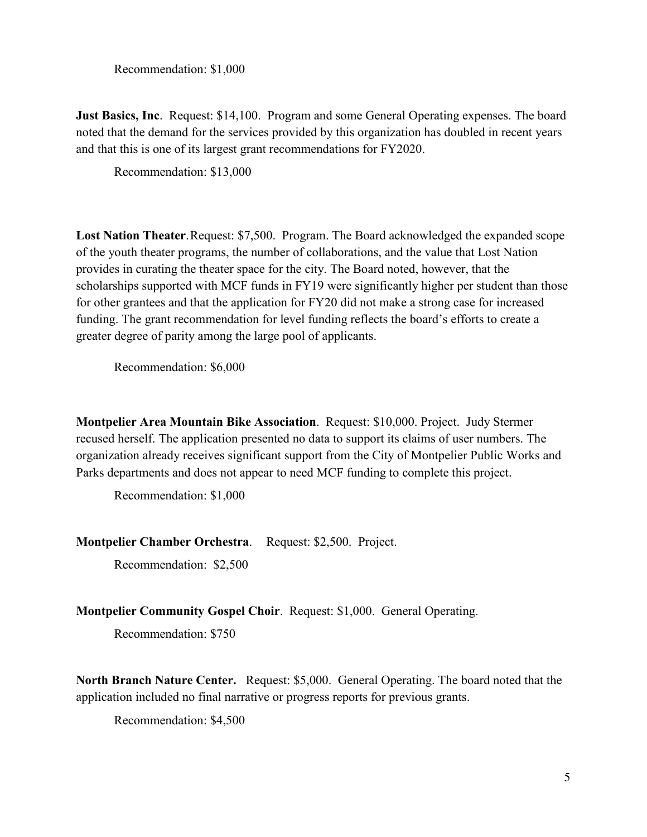Recommendation: \$1,000

**Just Basics, Inc**. Request: \$14,100. Program and some General Operating expenses. The board noted that the demand for the services provided by this organization has doubled in recent years and that this is one of its largest grant recommendations for FY2020.

Recommendation: \$13,000

**Lost Nation Theater**. Request: \$7,500. Program. The Board acknowledged the expanded scope of the youth theater programs, the number of collaborations, and the value that Lost Nation provides in curating the theater space for the city. The Board noted, however, that the scholarships supported with MCF funds in FY19 were significantly higher per student than those for other grantees and that the application for FY20 did not make a strong case for increased funding. The grant recommendation for level funding reflects the board's efforts to create a greater degree of parity among the large pool of applicants.

Recommendation: \$6,000

**Montpelier Area Mountain Bike Association**. Request: \$10,000. Project. Judy Stermer recused herself. The application presented no data to support its claims of user numbers. The organization already receives significant support from the City of Montpelier Public Works and Parks departments and does not appear to need MCF funding to complete this project.

Recommendation: \$1,000

**Montpelier Chamber Orchestra**. Request: \$2,500. Project.

Recommendation: \$2,500

**Montpelier Community Gospel Choir**. Request: \$1,000. General Operating.

Recommendation: \$750

**North Branch Nature Center.** Request: \$5,000. General Operating. The board noted that the application included no final narrative or progress reports for previous grants.

Recommendation: \$4,500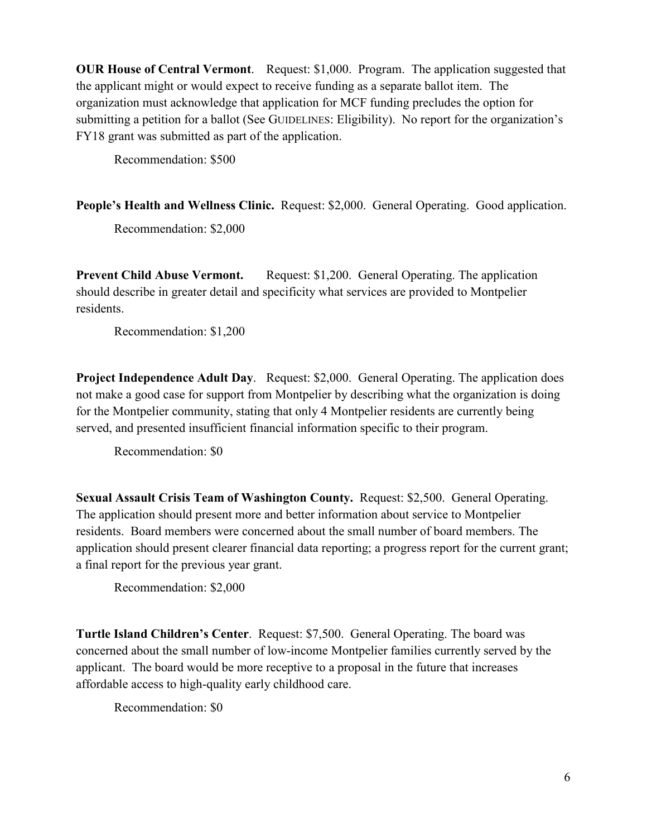**OUR House of Central Vermont**. Request: \$1,000. Program. The application suggested that the applicant might or would expect to receive funding as a separate ballot item. The organization must acknowledge that application for MCF funding precludes the option for submitting a petition for a ballot (See GUIDELINES: Eligibility). No report for the organization's FY18 grant was submitted as part of the application.

Recommendation: \$500

**People's Health and Wellness Clinic.** Request: \$2,000. General Operating. Good application.

Recommendation: \$2,000

**Prevent Child Abuse Vermont.** Request: \$1,200. General Operating. The application should describe in greater detail and specificity what services are provided to Montpelier residents.

Recommendation: \$1,200

**Project Independence Adult Day.** Request: \$2,000. General Operating. The application does not make a good case for support from Montpelier by describing what the organization is doing for the Montpelier community, stating that only 4 Montpelier residents are currently being served, and presented insufficient financial information specific to their program.

Recommendation: \$0

**Sexual Assault Crisis Team of Washington County.** Request: \$2,500. General Operating. The application should present more and better information about service to Montpelier residents. Board members were concerned about the small number of board members. The application should present clearer financial data reporting; a progress report for the current grant; a final report for the previous year grant.

Recommendation: \$2,000

**Turtle Island Children's Center**. Request: \$7,500. General Operating. The board was concerned about the small number of low-income Montpelier families currently served by the applicant. The board would be more receptive to a proposal in the future that increases affordable access to high-quality early childhood care.

Recommendation: \$0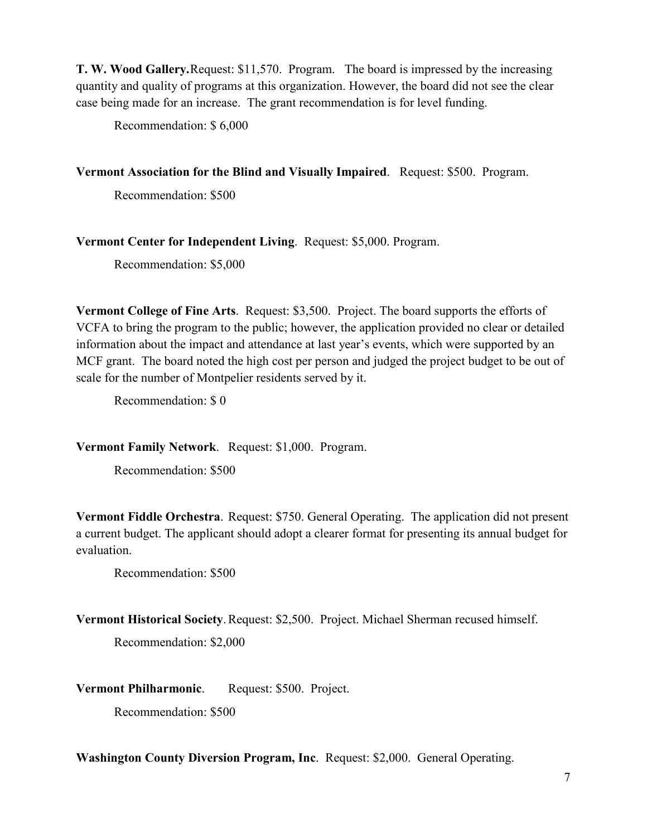**T. W. Wood Gallery.**Request: \$11,570. Program. The board is impressed by the increasing quantity and quality of programs at this organization. However, the board did not see the clear case being made for an increase. The grant recommendation is for level funding.

Recommendation: \$ 6,000

**Vermont Association for the Blind and Visually Impaired**. Request: \$500. Program.

Recommendation: \$500

**Vermont Center for Independent Living**. Request: \$5,000. Program.

Recommendation: \$5,000

**Vermont College of Fine Arts**. Request: \$3,500. Project. The board supports the efforts of VCFA to bring the program to the public; however, the application provided no clear or detailed information about the impact and attendance at last year's events, which were supported by an MCF grant. The board noted the high cost per person and judged the project budget to be out of scale for the number of Montpelier residents served by it.

Recommendation: \$ 0

**Vermont Family Network**. Request: \$1,000. Program.

Recommendation: \$500

**Vermont Fiddle Orchestra**. Request: \$750. General Operating. The application did not present a current budget. The applicant should adopt a clearer format for presenting its annual budget for evaluation.

Recommendation: \$500

**Vermont Historical Society.** Request: \$2,500. Project. Michael Sherman recused himself.

Recommendation: \$2,000

**Vermont Philharmonic**. Request: \$500. Project.

Recommendation: \$500

**Washington County Diversion Program, Inc**. Request: \$2,000. General Operating.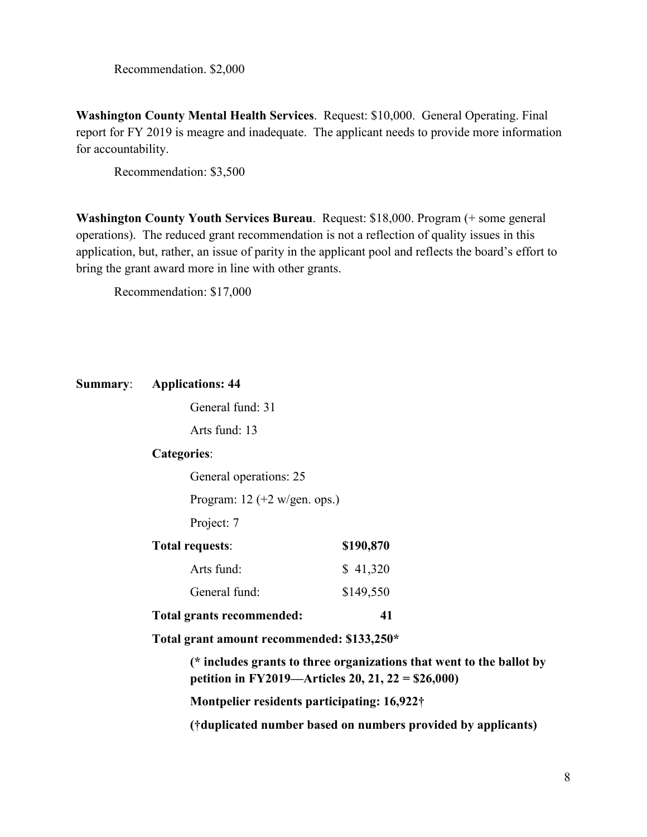Recommendation. \$2,000

**Washington County Mental Health Services**. Request: \$10,000. General Operating. Final report for FY 2019 is meagre and inadequate. The applicant needs to provide more information for accountability.

Recommendation: \$3,500

**Washington County Youth Services Bureau**. Request: \$18,000. Program (+ some general operations). The reduced grant recommendation is not a reflection of quality issues in this application, but, rather, an issue of parity in the applicant pool and reflects the board's effort to bring the grant award more in line with other grants.

Recommendation: \$17,000

|  | <b>Summary:</b> Applications: 44                                                                                                                                          |           |                                                              |  |
|--|---------------------------------------------------------------------------------------------------------------------------------------------------------------------------|-----------|--------------------------------------------------------------|--|
|  | General fund: 31<br>Arts fund: 13<br><b>Categories:</b>                                                                                                                   |           |                                                              |  |
|  |                                                                                                                                                                           |           | General operations: 25                                       |  |
|  |                                                                                                                                                                           |           | Program: $12 (+2 w/gen. ops.)$                               |  |
|  | Project: 7                                                                                                                                                                |           |                                                              |  |
|  | <b>Total requests:</b>                                                                                                                                                    | \$190,870 |                                                              |  |
|  | Arts fund:                                                                                                                                                                | \$41,320  |                                                              |  |
|  | General fund:                                                                                                                                                             | \$149,550 |                                                              |  |
|  | Total grants recommended:                                                                                                                                                 | 41        |                                                              |  |
|  | Total grant amount recommended: \$133,250*                                                                                                                                |           |                                                              |  |
|  | (* includes grants to three organizations that went to the ballot by<br>petition in FY2019—Articles 20, 21, 22 = \$26,000)<br>Montpelier residents participating: 16,922† |           |                                                              |  |
|  |                                                                                                                                                                           |           | (†duplicated number based on numbers provided by applicants) |  |